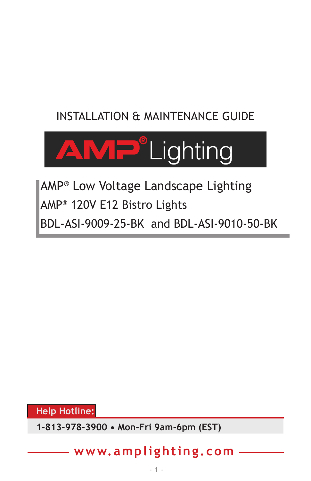

AMP® Low Voltage Landscape Lighting AMP® 120V E12 Bistro Lights BDL-ASI-9009-25-BK and BDL-ASI-9010-50-BK

**Help Hotline:** 

**1-813-978-3900 • Mon-Fri 9am-6pm (EST)**

## **www.amplighting.com**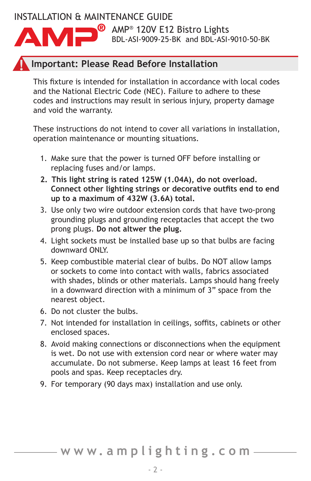

**B** AMP® 120V E12 Bistro Lights BDL-ASI-9009-25-BK and BDL-ASI-9010-50-BK

#### **Important: Please Read Before Installation !**

This fixture is intended for installation in accordance with local codes and the National Electric Code (NEC). Failure to adhere to these codes and instructions may result in serious injury, property damage and void the warranty.

These instructions do not intend to cover all variations in installation, operation maintenance or mounting situations.

- 1. Make sure that the power is turned OFF before installing or replacing fuses and/or lamps.
- **2. This light string is rated 125W (1.04A), do not overload. Connect other lighting strings or decorative outfits end to end up to a maximum of 432W (3.6A) total.**
- 3. Use only two wire outdoor extension cords that have two-prong grounding plugs and grounding receptacles that accept the two prong plugs. **Do not altwer the plug.**
- 4. Light sockets must be installed base up so that bulbs are facing downward ONLY.
- 5. Keep combustible material clear of bulbs. Do NOT allow lamps or sockets to come into contact with walls, fabrics associated with shades, blinds or other materials. Lamps should hang freely in a downward direction with a minimum of 3" space from the nearest object.
- 6. Do not cluster the bulbs.
- 7. Not intended for installation in ceilings, soffits, cabinets or other enclosed spaces.
- 8. Avoid making connections or disconnections when the equipment is wet. Do not use with extension cord near or where water may accumulate. Do not submerse. Keep lamps at least 16 feet from pools and spas. Keep receptacles dry.
- 9. For temporary (90 days max) installation and use only.

**www.amplighting.com**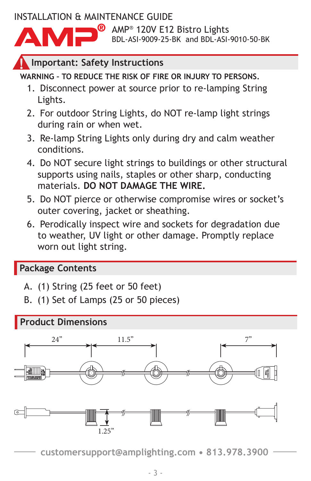

AMP® 120V E12 Bistro Lights BDL-ASI-9009-25-BK and BDL-ASI-9010-50-BK

#### **Important: Safety Instructions !**

**WARNING – TO REDUCE THE RISK OF FIRE OR INJURY TO PERSONS.**

- 1. Disconnect power at source prior to re-lamping String Lights.
- 2. For outdoor String Lights, do NOT re-lamp light strings during rain or when wet.
- 3. Re-lamp String Lights only during dry and calm weather conditions.
- 4. Do NOT secure light strings to buildings or other structural supports using nails, staples or other sharp, conducting materials. **DO NOT DAMAGE THE WIRE.**
- 5. Do NOT pierce or otherwise compromise wires or socket's outer covering, jacket or sheathing.
- 6. Perodically inspect wire and sockets for degradation due to weather, UV light or other damage. Promptly replace worn out light string.

#### **Package Contents**

- A. (1) String (25 feet or 50 feet)
- B. (1) Set of Lamps (25 or 50 pieces)



**customersupport@amplighting.com • 813.978.3900**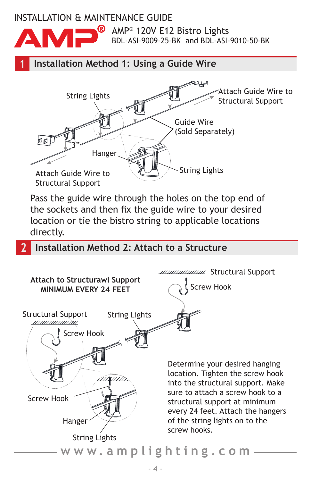

**B** AMP® 120V E12 Bistro Lights BDL-ASI-9009-25-BK and BDL-ASI-9010-50-BK

### **1 Installation Method 1: Using a Guide Wire**



Pass the guide wire through the holes on the top end of the sockets and then fix the guide wire to your desired location or tie the bistro string to applicable locations directly.

#### **2 Installation Method 2: Attach to a Structure**

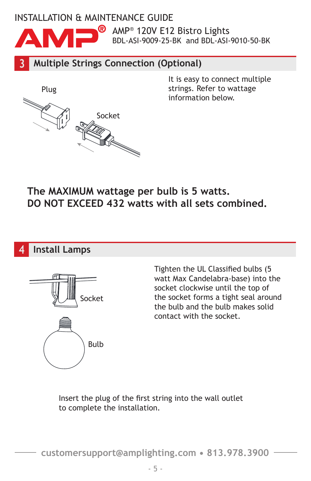

**B** AMP® 120V E12 Bistro Lights BDL-ASI-9009-25-BK and BDL-ASI-9010-50-BK

## **3 Multiple Strings Connection (Optional)**



It is easy to connect multiple strings. Refer to wattage information below.

### **The MAXIMUM wattage per bulb is 5 watts. DO NOT EXCEED 432 watts with all sets combined.**

#### **4 Install Lamps**



Tighten the UL Classified bulbs (5 watt Max Candelabra-base) into the socket clockwise until the top of the socket forms a tight seal around the bulb and the bulb makes solid contact with the socket.

Insert the plug of the first string into the wall outlet to complete the installation.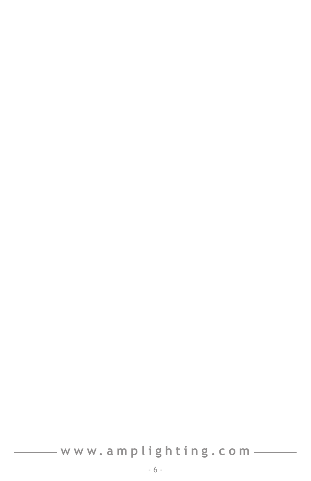# **www.amplighting.com**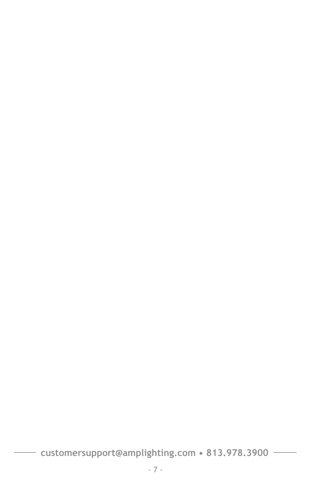**customersupport@amplighting.com • 813.978.3900**